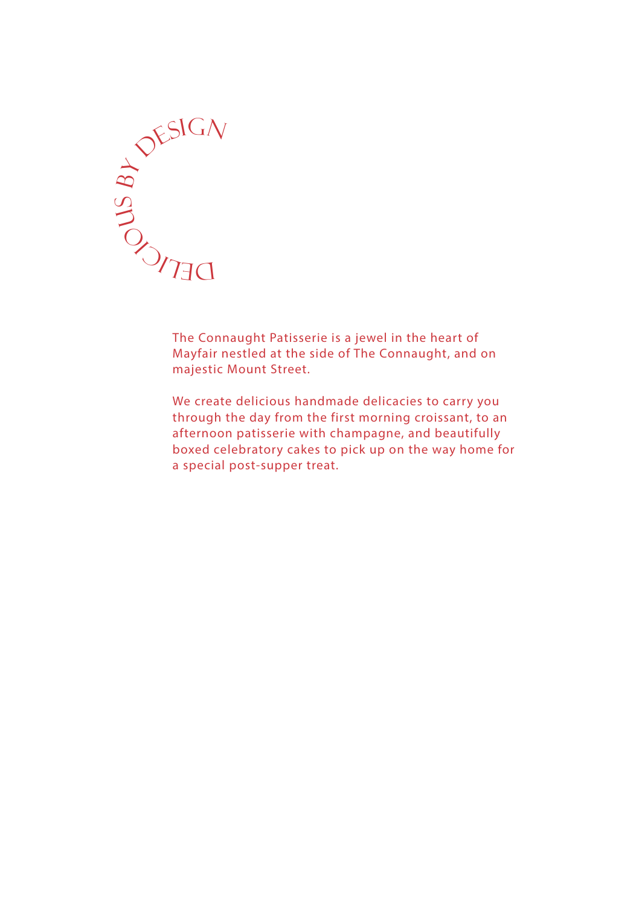

The Connaught Patisserie is a jewel in the heart of Mayfair nestled at the side of The Connaught, and on majestic Mount Street.

We create delicious handmade delicacies to carry you through the day from the first morning croissant, to an afternoon patisserie with champagne, and beautifully boxed celebratory cakes to pick up on the way home for a special post-supper treat.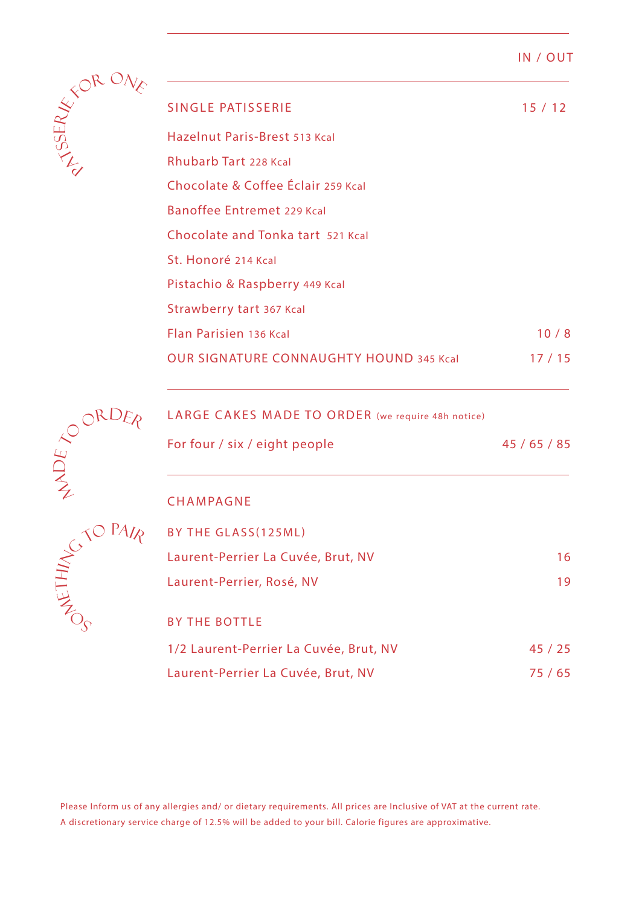### IN / OUT



 $\zeta$  $\Box$  $\overline{\mathcal{L}}$ 

| SINGLE PATISSERIE                               | 15/12 |
|-------------------------------------------------|-------|
| Hazelnut Paris-Brest 513 Kcal                   |       |
| Rhubarb Tart 228 Kcal                           |       |
| Chocolate & Coffee Éclair 259 Kcal              |       |
| Banoffee Entremet 229 Kcal                      |       |
| Chocolate and Tonka tart 521 Kcal               |       |
| St. Honoré 214 Kcal                             |       |
| Pistachio & Raspberry 449 Kcal                  |       |
| Strawberry tart 367 Kcal                        |       |
| Flan Parisien 136 Kcal                          | 10/8  |
| <b>OUR SIGNATURE CONNAUGHTY HOUND 345 Kcall</b> | 17/15 |
|                                                 |       |

# LARGE CAKES MADE TO ORDER (we require 48h notice)

|                             | LARGE CAKES MADE TO ORDER (we require 48h notice) |          |
|-----------------------------|---------------------------------------------------|----------|
|                             | For four / six / eight people                     | 45/65/85 |
|                             | <b>CHAMPAGNE</b>                                  |          |
| $\mathcal{S}^{\mathcal{N}}$ | BY THE GLASS (125ML)                              |          |
|                             | Laurent-Perrier La Cuvée, Brut, NV                | 16       |
| HEIT                        | Laurent-Perrier, Rosé, NV                         | 19       |
|                             | <b>BY THE BOTTLE</b>                              |          |
|                             | 1/2 Laurent-Perrier La Cuvée, Brut, NV            | 45/25    |
|                             | Laurent-Perrier La Cuvée, Brut, NV                | 75 / 65  |
|                             |                                                   |          |

Please Inform us of any allergies and/ or dietary requirements. All prices are Inclusive of VAT at the current rate. A discretionary service charge of 12.5% will be added to your bill. Calorie figures are approximative.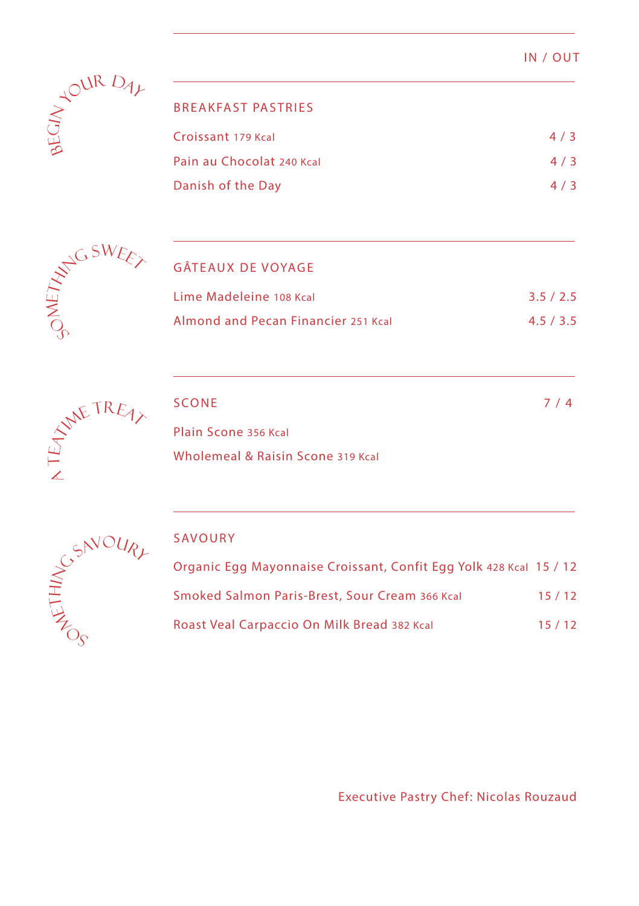| IN | OUT |  |
|----|-----|--|
|    |     |  |



|  | BREAKFAST PASTRIES |  |  |
|--|--------------------|--|--|
|  |                    |  |  |

| Croissant 179 Kcal        | 4/3 |
|---------------------------|-----|
| Pain au Chocolat 240 Kcal | 4/3 |
| Danish of the Day         | 4/3 |



# GÂTEAUX DE VOYAGE

| Lime Madeleine 108 Kcal             | 3.5/2.5 |
|-------------------------------------|---------|
| Almond and Pecan Financier 251 Kcal | 4.5/3.5 |



| SCONE                             | 7/4 |
|-----------------------------------|-----|
| Plain Scone 356 Kcal              |     |
| Wholemeal & Raisin Scone 319 Kcal |     |



## SAVOURY

| Organic Egg Mayonnaise Croissant, Confit Egg Yolk 428 Kcal 15 / 12 |       |
|--------------------------------------------------------------------|-------|
| Smoked Salmon Paris-Brest, Sour Cream 366 Kcal                     | 15/12 |
| Roast Veal Carpaccio On Milk Bread 382 Kcal                        | 15/12 |

Executive Pastry Chef: Nicolas Rouzaud